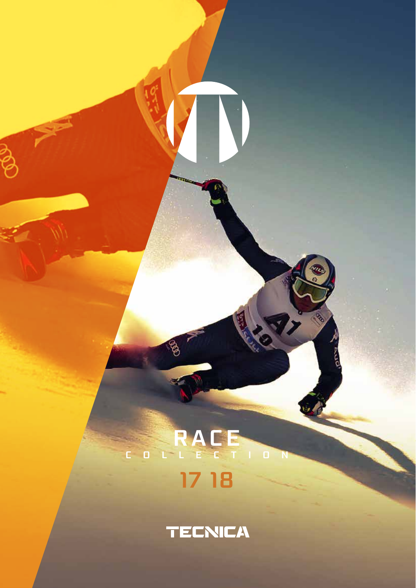# RACE COLLECTION 17 18

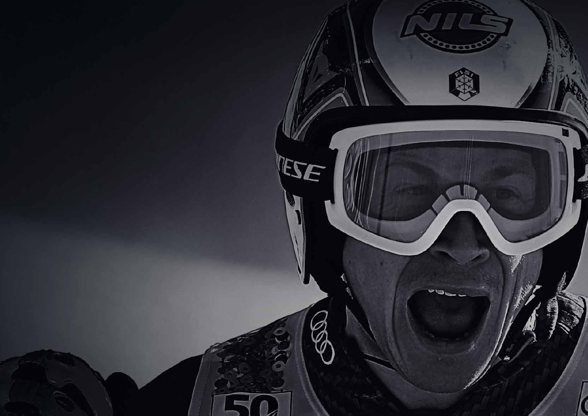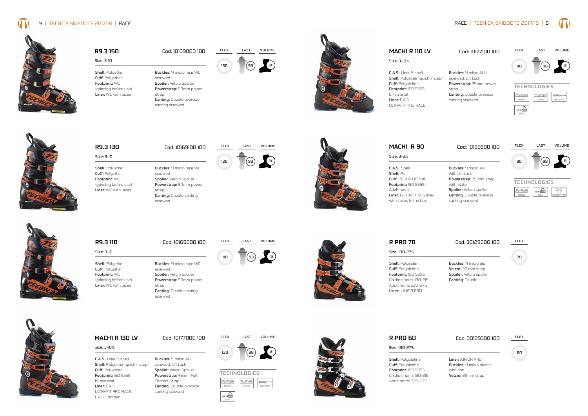

70



60



### R PRO 70 Cod: 30129200 100

R PRO 60 Cod: 30129300 100

Size: 180-275

Size: 180-275

### R9.3 130 Cod: 10169100 100

Cod: 10169200 100

Size: 3-10

Size: 3-10

# R9.3 110

R9.3 150 Cod: 10169000 100

Size: 3-10

FLEX











VOLUME ELV 93







93





**Shell:** Polyolefine Cuff: Polyolefine Footprint: ISO 5355 Chidren norm: 180-215 Adult norm: 220-275

TECHNOLOGIES



 $\frac{1}{\text{Im}\tau} \frac{1}{\text{Re}\sigma}$ 



### MACH1 R 110 LV Cod: 10177100 100

**Shell: Polyether** Cuff: Polyether Footprint: WC (grinding before use) Liner: WC with laces

Size: 3-10½

Size: 3-8½

### MACH1 R 90

### MACH1 R 130 LV Cod: 10177000 100

### Size: 3-10½

Shell: Polyester Cuff: Polyolefine Footprint: ISO 5355 Chidren norm: 180-215 Adult norm: 220-275 Liner: JUNIOR PRO

## 130 Buckles: 4 micro race WC Spoiler: Velcro Spoiler Powerstrap: 50mm power

Buckles: 4 micro alu Velcro: 30 mm strap Spoiler: Velcro spoiler Canting: Double

Liner: JUNIOR PRO Buckles: 4 micro plastic with ring Velcro: 25mm strap

Buckles: 4 micro race WC

screwed

Spoiler: Velcro Spoiler Powerstrap: 50mm power

strap

Canting: Double oversize canting screwed

Cuff: Polyether Footprint: WC (grinding before use) Liner: WC with laces

screwed

strap

Canting: Double canting

screwed

### FLEX LAST VOLUME Cod: 10169300 100 90 98 Buckles: 4 micro alu with Lift Lock Powerstrap: 35 mm strap TECHNOLOGIES with plate Spoiler: Velcro spoiler  $\frac{1}{\sqrt{1-\frac{1}{2}}\sqrt{1-\frac{1}{2}}\sqrt{1-\frac{1}{2}}\sqrt{1-\frac{1}{2}}\sqrt{1-\frac{1}{2}}\sqrt{1-\frac{1}{2}}\sqrt{1-\frac{1}{2}}\sqrt{1-\frac{1}{2}}\sqrt{1-\frac{1}{2}}\sqrt{1-\frac{1}{2}}\sqrt{1-\frac{1}{2}}\sqrt{1-\frac{1}{2}}\sqrt{1-\frac{1}{2}}\sqrt{1-\frac{1}{2}}\sqrt{1-\frac{1}{2}}\sqrt{1-\frac{1}{2}}\sqrt{1-\frac{1}{2}}\sqrt{1-\frac{1}{2}}\sqrt{1-\frac{1}{2}}\sqrt{1-\frac$ Canting: Double oversize canting screwed

Shell: Polyether **Cuff: Polyether** Footprint: WC (grinding before use) Liner: WC with laces



Buckles: 4 micro race WC

screwed

Spoiler: Velcro Spoiler

strap



screwed

C.A.S.: Liner & shell Shell: Polyether (quick instep) Cuff: Polyether Footprint: ISO 5355 bi-material Liner: C.A.S. ULTRAFIT PRO RACE C.A.S. Footbed

Buckles: 4 micro ALU screwed, Lift Lock Spoiler: Velcro Spoiler Powerstrap: 45mm Full Contact Strap Canting: Double oversize canting screwed

C.A.S.: Liner & shell Shell: Polyester (quick instep) Cuff: Polyolefine Footprint: ISO 5355 bi-material Liner: C.A.S. ULTRAFIT PRO RACE



**Shell: Polyether** 

Buckles: 4 micro ALU screwed, Lift Lock Powerstrap: 35mm power strap Canting: Double oversize canting screwed

C.A.S.: Shell Shell: PU Cuff: PU JUNIOR cuff Footprint: ISO 5355 Adult norm Liner: ULTRAFIT NFS liner with Laces in the box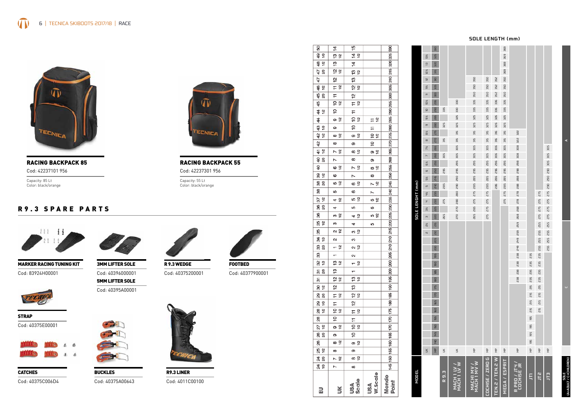

## RACING BACKPACK 85 RACING BACKPACK 55 Cod: 42237101 956 Cod: 42237301 956

Capacity: 85 Lt Color: black/orange

Capacity: 55 Lt Color: black/orange

ECNICA

# R9.3 SPARE PARTS



### SOLE LENGTH (mm)

|                  |                  | DEE                 |
|------------------|------------------|---------------------|
|                  | $13\frac{1}{2}$  | 325                 |
|                  | $\mathbb{E}$     | Be                  |
|                  | $12\%$           | 315                 |
|                  | n<br>G           | ald                 |
|                  | $11\frac{1}{2}$  |                     |
|                  | $=$              | 300 305             |
|                  | $10\%$           | 85                  |
|                  | $\overline{a}$   | 290                 |
|                  | $\frac{1}{2}$    | 285                 |
|                  | m                | 280                 |
|                  | $B\frac{V_e}{R}$ | 5/5                 |
|                  | $\infty$         | <b>P70</b>          |
|                  | $7\frac{1}{2}$   | 292                 |
|                  |                  | 260                 |
|                  | $6 \t 6\%$       | 235 240 245 250 255 |
|                  |                  |                     |
|                  | $5\frac{1}{2}$   |                     |
| SOLE LENGHT (mm) | un               |                     |
|                  | 宁<br>宁           |                     |
|                  | F                | 20                  |
|                  | $\frac{3}{2}$    | 25                  |
|                  | m                | <b>220</b>          |
|                  | $2\frac{v}{c}$   | 25                  |
|                  | ru               | 忌                   |
|                  |                  | 205                 |
|                  |                  | 200                 |
|                  |                  | 95                  |
|                  |                  | 90                  |
|                  |                  | 185                 |
|                  |                  | 180                 |
|                  |                  | 175                 |
|                  |                  | $\overline{170}$    |
|                  |                  | 165                 |
|                  |                  | 160                 |
|                  |                  | 155                 |
|                  |                  | 150                 |
|                  |                  | PHL                 |
|                  |                  | 문                   |
|                  | ¥                | ξ                   |
|                  |                  |                     |
|                  |                  |                     |
| <b>FIELD</b>     |                  |                     |
|                  |                  |                     |
|                  |                  |                     |
|                  |                  |                     |

5MM LIFTER SOLE Cod: 40396000001 3MM LIFTER SOLE R 9.3 WEDGE **FOOTBED** Cod: 40377900001



| $\leq$<br>m<br>8.3 | $\leq$<br>MACHILV/<br>MACHILV W | $\frac{p}{\Sigma}$<br>MACHI MV /<br>MACH I MV W | 물<br><b>COCHISE / ZERO G</b> | $\overline{\Xi}$<br>TEN.2/TEN.2 W | $\frac{p}{\Sigma}$<br>MEGA / ESPRIT | 물<br>R PRO / JT4<br>COCHISE JR | $\overline{\Xi}$<br>ξ   | 물<br>EL               | 물<br>Ë            | (A=ADULT / C=CHILDREN)<br><b>SOLE</b> |
|--------------------|---------------------------------|-------------------------------------------------|------------------------------|-----------------------------------|-------------------------------------|--------------------------------|-------------------------|-----------------------|-------------------|---------------------------------------|
|                    |                                 |                                                 |                              |                                   |                                     |                                | 95<br>95<br>면<br>미<br>Ë |                       |                   |                                       |
|                    |                                 |                                                 |                              |                                   |                                     |                                | 2E<br>2Iz<br>김도         | n<br>Fi<br>2ľ5<br>515 |                   |                                       |
|                    |                                 |                                                 |                              |                                   |                                     | 238<br>238                     | 品<br>品<br>2E            | 55<br>562<br>n<br>Fi  |                   | Ū                                     |
|                    |                                 |                                                 |                              |                                   |                                     | 238<br>m<br>ñ                  | 品<br>235                | 25<br>찞               |                   |                                       |
|                    |                                 |                                                 |                              |                                   |                                     | 259<br>문법<br>뮌                 |                         | 255<br>255<br>55      | 255<br>255<br>255 |                                       |
| 295                | <b>P20</b>                      | 265                                             | 275                          |                                   |                                     | 268<br>859                     |                         | 575<br>255            | 575<br>255        |                                       |
| 5/2                | 280<br><b>DZ2</b>               | 5/2<br>265                                      | 575<br>525                   |                                   | 5/2                                 | <b>278</b><br>268              |                         | 575<br>575            | 5/2<br>275        |                                       |
| 285                | 290<br>280                      | 285<br>5/2                                      | 285<br>5/5                   | 285                               | 285<br>5/2                          | 288<br>278                     |                         | 5/5                   | 290<br>5/5        |                                       |
| 品                  | 282<br>290                      | 295<br>285                                      | 285<br>285                   | 296<br>286                        | 282<br>285                          | 298<br>288                     |                         |                       | 290<br>290        |                                       |
| 305                | 305<br>262                      | 305<br>282                                      | 905<br>95                    | 306<br>296                        | 305<br>282                          | ade<br>298                     |                         |                       | 305<br>305        |                                       |
| ЯĘ                 | Яĥ<br>305                       | ЯŚ<br>305                                       | m<br>M<br>5DE                | ЭlE<br>90E                        | ЯŚ<br>吕                             | 322<br>ade                     |                         |                       | <b>ang</b>        | $\blacktriangleleft$                  |
|                    | 15<br>M                         | ЯË                                              | m<br>M                       | ЯE                                | ЯŚ                                  | 멅                              |                         |                       |                   |                                       |
| 멻                  | 35g<br>52E                      | 35<br>35E                                       | 35 B<br>25 E                 | 品<br>326                          | 35g<br>品                            |                                |                         |                       |                   |                                       |
| 335                | DEE<br>品                        | 品<br><b>HEE</b>                                 | 335<br>品                     | 品<br>336                          | 品<br><b>HEE</b>                     |                                |                         |                       |                   |                                       |
|                    |                                 | 350<br>350                                      | 350<br>350                   | 555<br>555                        | <b>DSE</b><br>350                   |                                |                         |                       |                   |                                       |
|                    |                                 | 350                                             | 350                          | 멻                                 | 369<br>350                          |                                |                         |                       |                   |                                       |
|                    |                                 |                                                 |                              |                                   | 369                                 |                                |                         |                       |                   |                                       |
|                    |                                 |                                                 |                              |                                   | 品<br>369                            |                                |                         |                       |                   |                                       |

MARKER RACING TUNING KIT Cod: 83924H00001



Cod: 40375C006D4



BUCKLES

Cod: 40375A00643



STRAP Cod: 40375E00001



**CATCHES** 

R9.3 LINER Cod: 4011C00100

| 긆                | š                                                                              | USA<br>Scale                                                                        | W.Scale<br>USA | Mondo<br>Point                                      |
|------------------|--------------------------------------------------------------------------------|-------------------------------------------------------------------------------------|----------------|-----------------------------------------------------|
| న ≌              | N                                                                              | 8                                                                                   |                |                                                     |
| ಸೆ ನಿ            | 乙促                                                                             | ∞ ≌                                                                                 |                |                                                     |
| 83 జ             | ထ                                                                              | თ                                                                                   |                | 145 150 155 160 165 170 170 175 180 185 190 195 200 |
| 8                | ∞ ≌                                                                            | ത≌                                                                                  |                |                                                     |
| <b>୫</b> ଅ       | თ                                                                              | ă                                                                                   |                |                                                     |
| ភ្គ<br>ខ         | ത ≌                                                                            | $\frac{10}{16}$                                                                     |                |                                                     |
| 8                | $\begin{array}{c c c c c c} \hline 10 & 10 & 11 \ \hline 12 & & & \end{array}$ | $\frac{1}{2}$<br>$\overline{1}$                                                     |                |                                                     |
| 8 ≊              |                                                                                | $\frac{1}{2}$                                                                       |                |                                                     |
| ಔ ಜಿ<br>⊗ ಇ      |                                                                                | <u>으 일</u>                                                                          |                |                                                     |
| <u>ಇ ಇ</u>       | $\frac{1}{2}$<br>$\frac{1}{2}$                                                 | $\frac{13}{2}$                                                                      |                |                                                     |
| 55               | <u>(2</u> 일                                                                    | 13 ≌                                                                                |                |                                                     |
| స్ ని            | బ్                                                                             | T                                                                                   |                |                                                     |
| 8\$ ຂ            | 12<br>12                                                                       | - ≌                                                                                 |                |                                                     |
| 8                |                                                                                | N                                                                                   |                | 200 205                                             |
| ន ឌ              | $\frac{1}{1}$                                                                  | ດ≀ ≌                                                                                |                | $rac{1}{20}$                                        |
| ≵ ຮ              | N                                                                              | S                                                                                   |                |                                                     |
| 8                | ດ≀ ≌                                                                           | ო≌                                                                                  |                | 210 215                                             |
| 8న ఇ             | S                                                                              | 4                                                                                   | 5              | ষ্ণ                                                 |
| 8                | ო ≌                                                                            | + ≌                                                                                 | ທ≌             | 25                                                  |
| శి శి            | 4                                                                              | 5                                                                                   | 6              | $\overline{230}$                                    |
| 97<br>1⊗         | 4 ≌                                                                            | ທ≌                                                                                  | ల ≌            | 235                                                 |
| 8                | 5                                                                              | 6                                                                                   | Ņ              | 240                                                 |
| జి ఇ             | မာ ဇ္                                                                          | ల ≌                                                                                 | てる             | 245                                                 |
| 8 క              | 6                                                                              | Z                                                                                   | 8              | 250                                                 |
| ੩                | ຜ ≌                                                                            | てい                                                                                  | ∞ ≌            | 255                                                 |
| ទ ឌ              | r,                                                                             | စ                                                                                   | თ              | 260                                                 |
| 47 թ             | てい                                                                             | ∞ ≌                                                                                 | ത ≌            | 265                                                 |
| 42               | ထ                                                                              | თ                                                                                   | $\tilde{a}$    | 270 275                                             |
| ਨੈਂ ਫ਼           | ∞ ≌                                                                            | ത≌                                                                                  | $rac{6}{5}$    |                                                     |
| \$ ਫ਼            | თ                                                                              | ă                                                                                   | F              | 280                                                 |
| \$               | თ≌                                                                             | e ≊                                                                                 | 는 <sub>은</sub> | 285                                                 |
| $4 \overline{5}$ | ă                                                                              | F                                                                                   |                | 290 295                                             |
| 45               | <b>[2</b>                                                                      |                                                                                     |                |                                                     |
| 48               | F                                                                              | $\begin{array}{c c c c} \hline 11 & 12 & 12 \\ \hline 12 & 12 & \hline \end{array}$ |                | 300                                                 |
| க் ≌             | $\frac{11}{12}$ 12                                                             |                                                                                     |                | 305                                                 |
| 47               |                                                                                | $\frac{13}{2}$                                                                      |                | 310 315                                             |
| 48               | <u> 인</u>                                                                      | ts<br>ts                                                                            |                |                                                     |
| \$ ඝ             | 13 ≌<br>ద                                                                      | $\frac{1}{4}$<br>4                                                                  |                | 320 325                                             |
| 8<br>අ ≊         | $\frac{4}{1}$                                                                  | $\frac{15}{2}$                                                                      |                | 8                                                   |
|                  |                                                                                |                                                                                     |                |                                                     |

Cod: 40395A00001

Cod: 40375200001